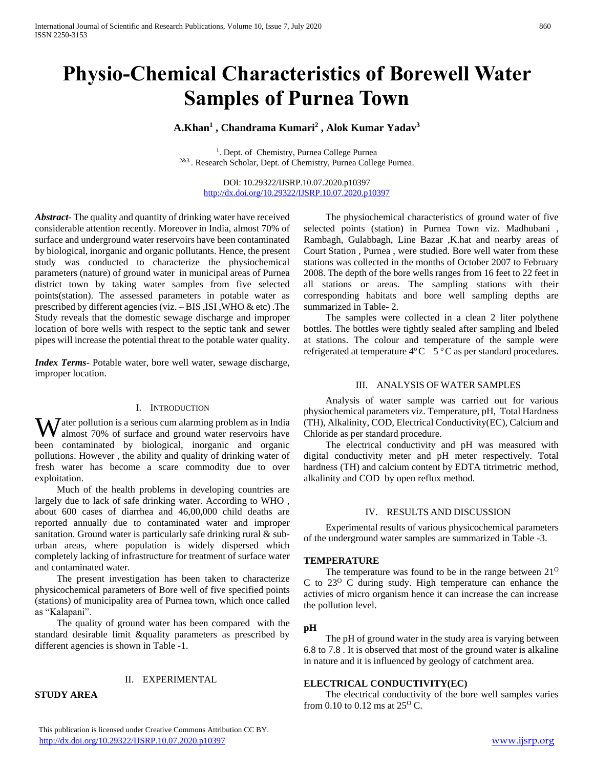# **Physio-Chemical Characteristics of Borewell Water Samples of Purnea Town**

# **A.Khan<sup>1</sup> , Chandrama Kumari<sup>2</sup> , Alok Kumar Yadav<sup>3</sup>**

<sup>1</sup>. Dept. of Chemistry, Purnea College Purnea <sup>2&3</sup>. Research Scholar, Dept. of Chemistry, Purnea College Purnea.

DOI: 10.29322/IJSRP.10.07.2020.p10397 <http://dx.doi.org/10.29322/IJSRP.10.07.2020.p10397>

*Abstract***-** The quality and quantity of drinking water have received considerable attention recently. Moreover in India, almost 70% of surface and underground water reservoirs have been contaminated by biological, inorganic and organic pollutants. Hence, the present study was conducted to characterize the physiochemical parameters (nature) of ground water in municipal areas of Purnea district town by taking water samples from five selected points(station). The assessed parameters in potable water as prescribed by different agencies (viz. – BIS ,ISI ,WHO & etc) .The Study reveals that the domestic sewage discharge and improper location of bore wells with respect to the septic tank and sewer pipes will increase the potential threat to the potable water quality.

*Index Terms*- Potable water, bore well water, sewage discharge, improper location.

#### I. INTRODUCTION

**W** ater pollution is a serious cum alarming problem as in India almost 70% of surface and ground water reservoirs have almost 70% of surface and ground water reservoirs have been contaminated by biological, inorganic and organic pollutions. However , the ability and quality of drinking water of fresh water has become a scare commodity due to over exploitation.

 Much of the health problems in developing countries are largely due to lack of safe drinking water. According to WHO , about 600 cases of diarrhea and 46,00,000 child deaths are reported annually due to contaminated water and improper sanitation. Ground water is particularly safe drinking rural & suburban areas, where population is widely dispersed which completely lacking of infrastructure for treatment of surface water and contaminated water.

 The present investigation has been taken to characterize physicochemical parameters of Bore well of five specified points (stations) of municipality area of Purnea town, which once called as "Kalapani".

 The quality of ground water has been compared with the standard desirable limit &quality parameters as prescribed by different agencies is shown in Table -1.

# II. EXPERIMENTAL

**STUDY AREA**

 The physiochemical characteristics of ground water of five selected points (station) in Purnea Town viz. Madhubani , Rambagh, Gulabbagh, Line Bazar ,K.hat and nearby areas of Court Station , Purnea , were studied. Bore well water from these stations was collected in the months of October 2007 to February 2008. The depth of the bore wells ranges from 16 feet to 22 feet in all stations or areas. The sampling stations with their corresponding habitats and bore well sampling depths are summarized in Table- 2.

 The samples were collected in a clean 2 liter polythene bottles. The bottles were tightly sealed after sampling and lbeled at stations. The colour and temperature of the sample were refrigerated at temperature  $4^{\circ}$ C – 5  $^{\circ}$ C as per standard procedures.

# III. ANALYSIS OF WATER SAMPLES

 Analysis of water sample was carried out for various physiochemical parameters viz. Temperature, pH, Total Hardness (TH), Alkalinity, COD, Electrical Conductivity(EC), Calcium and Chloride as per standard procedure.

 The electrical conductivity and pH was measured with digital conductivity meter and pH meter respectively. Total hardness (TH) and calcium content by EDTA titrimetric method, alkalinity and COD by open reflux method.

# IV. RESULTS AND DISCUSSION

 Experimental results of various physicochemical parameters of the underground water samples are summarized in Table -3.

# **TEMPERATURE**

The temperature was found to be in the range between  $21^{\circ}$ C to  $23^{\circ}$  C during study. High temperature can enhance the activies of micro organism hence it can increase the can increase the pollution level.

#### **pH**

 The pH of ground water in the study area is varying between 6.8 to 7.8 . It is observed that most of the ground water is alkaline in nature and it is influenced by geology of catchment area.

# **ELECTRICAL CONDUCTIVITY(EC)**

 The electrical conductivity of the bore well samples varies from 0.10 to 0.12 ms at  $25^{\circ}$  C.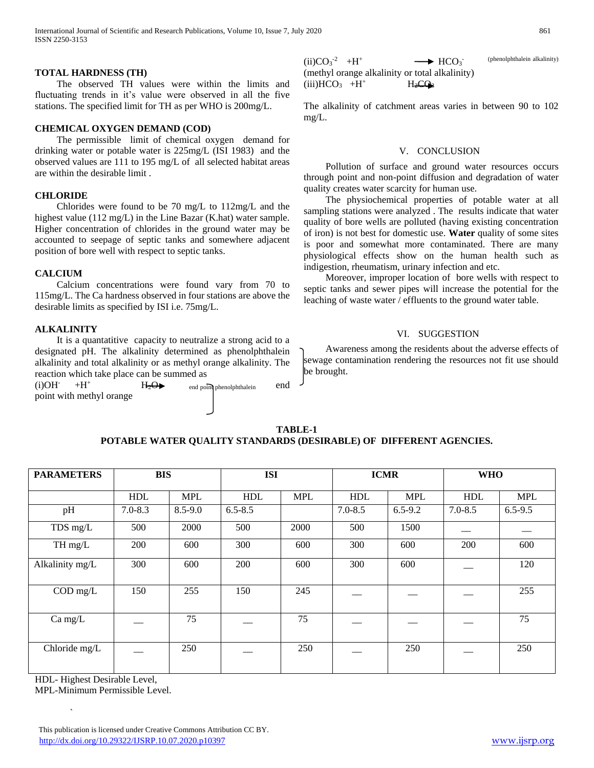# **TOTAL HARDNESS (TH)**

 The observed TH values were within the limits and fluctuating trends in it's value were observed in all the five stations. The specified limit for TH as per WHO is 200mg/L.

# **CHEMICAL OXYGEN DEMAND (COD)**

 The permissible limit of chemical oxygen demand for drinking water or potable water is 225mg/L (ISI 1983) and the observed values are 111 to 195 mg/L of all selected habitat areas are within the desirable limit .

# **CHLORIDE**

 Chlorides were found to be 70 mg/L to 112mg/L and the highest value (112 mg/L) in the Line Bazar (K.hat) water sample. Higher concentration of chlorides in the ground water may be accounted to seepage of septic tanks and somewhere adjacent position of bore well with respect to septic tanks.

# **CALCIUM**

 Calcium concentrations were found vary from 70 to 115mg/L. The Ca hardness observed in four stations are above the desirable limits as specified by ISI i.e. 75mg/L.

# **ALKALINITY**

 It is a quantatitive capacity to neutralize a strong acid to a designated pH. The alkalinity determined as phenolphthalein alkalinity and total alkalinity or as methyl orange alkalinity. The reaction which take place can be summed as

 $(i)OH^{-}$  $+H^+$ point with methyl orange  $H_2\Theta$  end point phenolphthalein end

 $(ii)CO<sub>3</sub><sup>-2</sup> +H<sup>+</sup>$  $\longrightarrow$  HCO<sub>3</sub> (phenolphthalein alkalinity) (methyl orange alkalinity or total alkalinity)  $(iii)HCO<sub>3</sub>$  +H<sup>+</sup>  $H_2CQ_3$ 

The alkalinity of catchment areas varies in between 90 to 102 mg/L.

#### V. CONCLUSION

 Pollution of surface and ground water resources occurs through point and non-point diffusion and degradation of water quality creates water scarcity for human use.

 The physiochemical properties of potable water at all sampling stations were analyzed . The results indicate that water quality of bore wells are polluted (having existing concentration of iron) is not best for domestic use. **Water** quality of some sites is poor and somewhat more contaminated. There are many physiological effects show on the human health such as indigestion, rheumatism, urinary infection and etc.

 Moreover, improper location of bore wells with respect to septic tanks and sewer pipes will increase the potential for the leaching of waste water / effluents to the ground water table.

# VI. SUGGESTION

 Awareness among the residents about the adverse effects of sewage contamination rendering the resources not fit use should be brought.

| TABLE-1                                                            |  |  |  |  |  |  |
|--------------------------------------------------------------------|--|--|--|--|--|--|
| POTABLE WATER QUALITY STANDARDS (DESIRABLE) OF DIFFERENT AGENCIES. |  |  |  |  |  |  |

| <b>PARAMETERS</b> | <b>BIS</b>  |             | <b>ISI</b>  |            | <b>ICMR</b> |             | <b>WHO</b>  |             |
|-------------------|-------------|-------------|-------------|------------|-------------|-------------|-------------|-------------|
|                   |             |             |             |            |             |             |             |             |
|                   | <b>HDL</b>  | <b>MPL</b>  | <b>HDL</b>  | <b>MPL</b> | <b>HDL</b>  | <b>MPL</b>  | <b>HDL</b>  | <b>MPL</b>  |
| pH                | $7.0 - 8.3$ | $8.5 - 9.0$ | $6.5 - 8.5$ |            | $7.0 - 8.5$ | $6.5 - 9.2$ | $7.0 - 8.5$ | $6.5 - 9.5$ |
| TDS mg/L          | 500         | 2000        | 500         | 2000       | 500         | 1500        |             |             |
| TH mg/L           | 200         | 600         | 300         | 600        | 300         | 600         | 200         | 600         |
| Alkalinity mg/L   | 300         | 600         | 200         | 600        | 300         | 600         |             | 120         |
| $COD$ mg/L        | 150         | 255         | 150         | 245        |             |             |             | 255         |
| $Ca$ mg/L         |             | 75          |             | 75         |             |             |             | 75          |
| Chloride mg/L     |             | 250         |             | 250        |             | 250         |             | 250         |

HDL- Highest Desirable Level,

`

MPL-Minimum Permissible Level.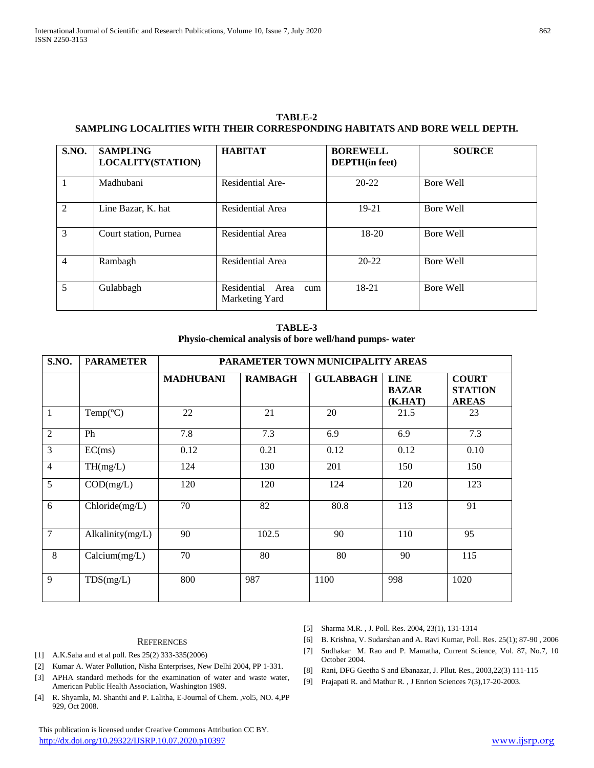| TABLE-2                                                                    |
|----------------------------------------------------------------------------|
| SAMPLING LOCALITIES WITH THEIR CORRESPONDING HABITATS AND BORE WELL DEPTH. |

| <b>S.NO.</b>   | <b>SAMPLING</b><br><b>LOCALITY(STATION)</b> | <b>HABITAT</b>                               | <b>BOREWELL</b><br><b>DEPTH</b> (in feet) | <b>SOURCE</b> |
|----------------|---------------------------------------------|----------------------------------------------|-------------------------------------------|---------------|
|                | Madhubani                                   | Residential Are-                             | $20 - 22$                                 | Bore Well     |
| 2              | Line Bazar, K. hat                          | Residential Area                             | $19 - 21$                                 | Bore Well     |
| 3              | Court station, Purnea                       | Residential Area                             | $18-20$                                   | Bore Well     |
| $\overline{4}$ | Rambagh                                     | Residential Area                             | $20 - 22$                                 | Bore Well     |
| 5              | Gulabbagh                                   | Residential<br>Area<br>cum<br>Marketing Yard | 18-21                                     | Bore Well     |

# **TABLE-3 Physio-chemical analysis of bore well/hand pumps- water**

| S.NO.          | <b>PARAMETER</b>      | PARAMETER TOWN MUNICIPALITY AREAS |                |                  |                                        |                                                |  |  |
|----------------|-----------------------|-----------------------------------|----------------|------------------|----------------------------------------|------------------------------------------------|--|--|
|                |                       | <b>MADHUBANI</b>                  | <b>RAMBAGH</b> | <b>GULABBAGH</b> | <b>LINE</b><br><b>BAZAR</b><br>(K.HAT) | <b>COURT</b><br><b>STATION</b><br><b>AREAS</b> |  |  |
| 1              | Temp( ${}^{\circ}$ C) | 22                                | 21             | 20               | 21.5                                   | 23                                             |  |  |
| $\overline{2}$ | Ph                    | 7.8                               | 7.3            | 6.9              | 6.9                                    | 7.3                                            |  |  |
| 3              | EC(ms)                | 0.12                              | 0.21           | 0.12             | 0.12                                   | 0.10                                           |  |  |
| $\overline{4}$ | TH(mg/L)              | 124                               | 130            | 201              | 150                                    | 150                                            |  |  |
| 5              | COD(mg/L)             | 120                               | 120            | 124              | 120                                    | 123                                            |  |  |
| 6              | Chloride(mg/L)        | 70                                | 82             | 80.8             | 113                                    | 91                                             |  |  |
| $\overline{7}$ | Alkalinity $(mg/L)$   | 90                                | 102.5          | 90               | 110                                    | 95                                             |  |  |
| 8              | Calcium(mg/L)         | 70                                | 80             | 80               | 90                                     | 115                                            |  |  |
| 9              | TDS(mg/L)             | 800                               | 987            | 1100             | 998                                    | 1020                                           |  |  |

## **REFERENCES**

- [1] A.K.Saha and et al poll. Res 25(2) 333-335(2006)
- [2] Kumar A. Water Pollution, Nisha Enterprises, New Delhi 2004, PP 1-331.
- [3] APHA standard methods for the examination of water and waste water, American Public Health Association, Washington 1989.
- [4] R. Shyamla, M. Shanthi and P. Lalitha, E-Journal of Chem. ,vol5, NO. 4,PP 929, Oct 2008.

 This publication is licensed under Creative Commons Attribution CC BY. <http://dx.doi.org/10.29322/IJSRP.10.07.2020.p10397> [www.ijsrp.org](http://ijsrp.org/)

- [5] Sharma M.R. , J. Poll. Res. 2004, 23(1), 131-1314
- [6] B. Krishna, V. Sudarshan and A. Ravi Kumar, Poll. Res. 25(1); 87-90 , 2006
- [7] Sudhakar M. Rao and P. Mamatha, Current Science, Vol. 87, No.7, 10 October 2004.
- [8] Rani, DFG Geetha S and Ebanazar, J. Pllut. Res., 2003,22(3) 111-115
- [9] Prajapati R. and Mathur R. , J Enrion Sciences 7(3),17-20-2003.